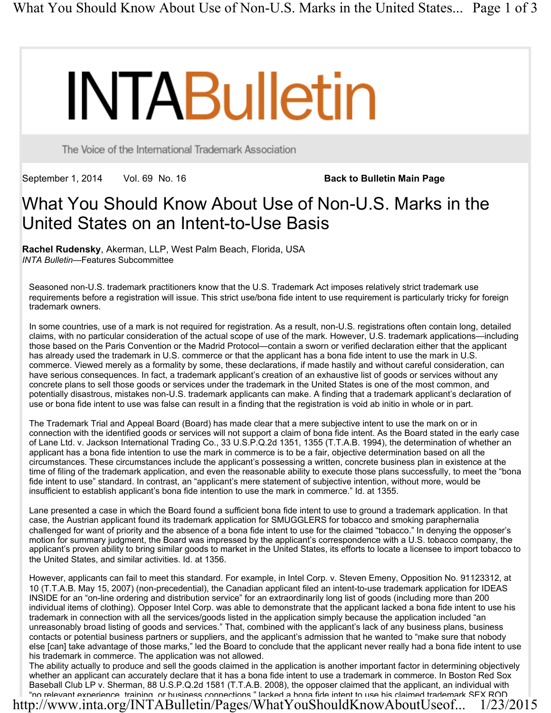# **INTABulletin**

The Voice of the International Trademark Association

September 1, 2014 Vol. 69 No. 16 **Back to Bulletin Main Page** 

# What You Should Know About Use of Non-U.S. Marks in the United States on an Intent-to-Use Basis

**Rachel Rudensky**, Akerman, LLP, West Palm Beach, Florida, USA *INTA Bulletin*—Features Subcommittee

Seasoned non-U.S. trademark practitioners know that the U.S. Trademark Act imposes relatively strict trademark use requirements before a registration will issue. This strict use/bona fide intent to use requirement is particularly tricky for foreign trademark owners.

In some countries, use of a mark is not required for registration. As a result, non-U.S. registrations often contain long, detailed claims, with no particular consideration of the actual scope of use of the mark. However, U.S. trademark applications—including those based on the Paris Convention or the Madrid Protocol—contain a sworn or verified declaration either that the applicant has already used the trademark in U.S. commerce or that the applicant has a bona fide intent to use the mark in U.S. commerce. Viewed merely as a formality by some, these declarations, if made hastily and without careful consideration, can have serious consequences. In fact, a trademark applicant's creation of an exhaustive list of goods or services without any concrete plans to sell those goods or services under the trademark in the United States is one of the most common, and potentially disastrous, mistakes non-U.S. trademark applicants can make. A finding that a trademark applicant's declaration of use or bona fide intent to use was false can result in a finding that the registration is void ab initio in whole or in part.

The Trademark Trial and Appeal Board (Board) has made clear that a mere subjective intent to use the mark on or in connection with the identified goods or services will not support a claim of bona fide intent. As the Board stated in the early case of Lane Ltd. v. Jackson International Trading Co., 33 U.S.P.Q.2d 1351, 1355 (T.T.A.B. 1994), the determination of whether an applicant has a bona fide intention to use the mark in commerce is to be a fair, objective determination based on all the circumstances. These circumstances include the applicant's possessing a written, concrete business plan in existence at the time of filing of the trademark application, and even the reasonable ability to execute those plans successfully, to meet the "bona fide intent to use" standard. In contrast, an "applicant's mere statement of subjective intention, without more, would be insufficient to establish applicant's bona fide intention to use the mark in commerce." Id. at 1355.

Lane presented a case in which the Board found a sufficient bona fide intent to use to ground a trademark application. In that case, the Austrian applicant found its trademark application for SMUGGLERS for tobacco and smoking paraphernalia challenged for want of priority and the absence of a bona fide intent to use for the claimed "tobacco." In denying the opposer's motion for summary judgment, the Board was impressed by the applicant's correspondence with a U.S. tobacco company, the applicant's proven ability to bring similar goods to market in the United States, its efforts to locate a licensee to import tobacco to the United States, and similar activities. Id. at 1356.

However, applicants can fail to meet this standard. For example, in Intel Corp. v. Steven Emeny, Opposition No. 91123312, at 10 (T.T.A.B. May 15, 2007) (non-precedential), the Canadian applicant filed an intent-to-use trademark application for IDEAS INSIDE for an "on-line ordering and distribution service" for an extraordinarily long list of goods (including more than 200 individual items of clothing). Opposer Intel Corp. was able to demonstrate that the applicant lacked a bona fide intent to use his trademark in connection with all the services/goods listed in the application simply because the application included "an unreasonably broad listing of goods and services." That, combined with the applicant's lack of any business plans, business contacts or potential business partners or suppliers, and the applicant's admission that he wanted to "make sure that nobody else [can] take advantage of those marks," led the Board to conclude that the applicant never really had a bona fide intent to use his trademark in commerce. The application was not allowed.

The ability actually to produce and sell the goods claimed in the application is another important factor in determining objectively whether an applicant can accurately declare that it has a bona fide intent to use a trademark in commerce. In Boston Red Sox Baseball Club LP v. Sherman, 88 U.S.P.Q.2d 1581 (T.T.A.B. 2008), the opposer claimed that the applicant, an individual with "no relevant experience, training, or business connections," lacked a bona fide intent to use his claimed trademark SEX ROD. http://www.inta.org/INTABulletin/Pages/WhatYouShouldKnowAboutUseof... 1/23/2015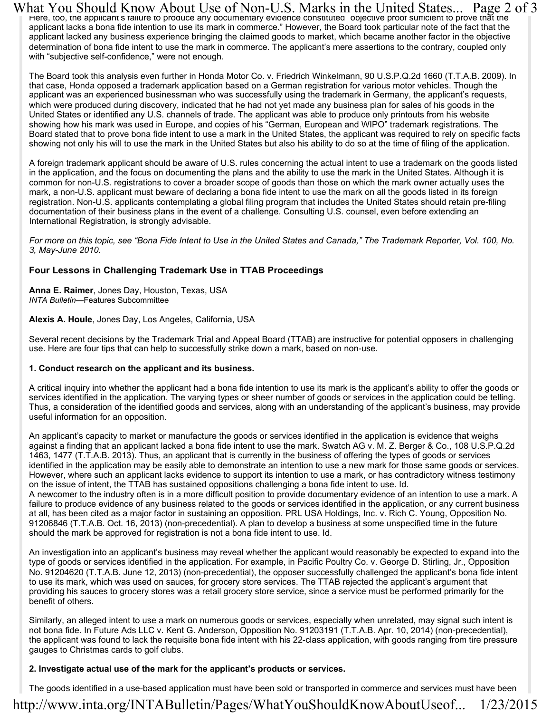What You Should Know About Use of Non-U.S. Marks in the United States... Page 2 of 3<br>Figure, too, the applicant's failure to produce any documentary evidence constituted "objective proof sufficient to prove that the applicant lacks a bona fide intention to use its mark in commerce." However, the Board took particular note of the fact that the applicant lacked any business experience bringing the claimed goods to market, which became another factor in the objective determination of bona fide intent to use the mark in commerce. The applicant's mere assertions to the contrary, coupled only with "subjective self-confidence," were not enough.

The Board took this analysis even further in Honda Motor Co. v. Friedrich Winkelmann, 90 U.S.P.Q.2d 1660 (T.T.A.B. 2009). In that case, Honda opposed a trademark application based on a German registration for various motor vehicles. Though the applicant was an experienced businessman who was successfully using the trademark in Germany, the applicant's requests, which were produced during discovery, indicated that he had not yet made any business plan for sales of his goods in the United States or identified any U.S. channels of trade. The applicant was able to produce only printouts from his website showing how his mark was used in Europe, and copies of his "German, European and WIPO" trademark registrations. The Board stated that to prove bona fide intent to use a mark in the United States, the applicant was required to rely on specific facts showing not only his will to use the mark in the United States but also his ability to do so at the time of filing of the application.

A foreign trademark applicant should be aware of U.S. rules concerning the actual intent to use a trademark on the goods listed in the application, and the focus on documenting the plans and the ability to use the mark in the United States. Although it is common for non-U.S. registrations to cover a broader scope of goods than those on which the mark owner actually uses the mark, a non-U.S. applicant must beware of declaring a bona fide intent to use the mark on all the goods listed in its foreign registration. Non-U.S. applicants contemplating a global filing program that includes the United States should retain pre-filing documentation of their business plans in the event of a challenge. Consulting U.S. counsel, even before extending an International Registration, is strongly advisable.

*For more on this topic, see "Bona Fide Intent to Use in the United States and Canada," The Trademark Reporter, Vol. 100, No. 3, May-June 2010.*

# **Four Lessons in Challenging Trademark Use in TTAB Proceedings**

**Anna E. Raimer**, Jones Day, Houston, Texas, USA *INTA Bulletin*—Features Subcommittee

#### **Alexis A. Houle**, Jones Day, Los Angeles, California, USA

Several recent decisions by the Trademark Trial and Appeal Board (TTAB) are instructive for potential opposers in challenging use. Here are four tips that can help to successfully strike down a mark, based on non-use.

## **1. Conduct research on the applicant and its business.**

A critical inquiry into whether the applicant had a bona fide intention to use its mark is the applicant's ability to offer the goods or services identified in the application. The varying types or sheer number of goods or services in the application could be telling. Thus, a consideration of the identified goods and services, along with an understanding of the applicant's business, may provide useful information for an opposition.

An applicant's capacity to market or manufacture the goods or services identified in the application is evidence that weighs against a finding that an applicant lacked a bona fide intent to use the mark. Swatch AG v. M. Z. Berger & Co., 108 U.S.P.Q.2d 1463, 1477 (T.T.A.B. 2013). Thus, an applicant that is currently in the business of offering the types of goods or services identified in the application may be easily able to demonstrate an intention to use a new mark for those same goods or services. However, where such an applicant lacks evidence to support its intention to use a mark, or has contradictory witness testimony on the issue of intent, the TTAB has sustained oppositions challenging a bona fide intent to use. Id. A newcomer to the industry often is in a more difficult position to provide documentary evidence of an intention to use a mark. A

failure to produce evidence of any business related to the goods or services identified in the application, or any current business at all, has been cited as a major factor in sustaining an opposition. PRL USA Holdings, Inc. v. Rich C. Young, Opposition No. 91206846 (T.T.A.B. Oct. 16, 2013) (non-precedential). A plan to develop a business at some unspecified time in the future should the mark be approved for registration is not a bona fide intent to use. Id.

An investigation into an applicant's business may reveal whether the applicant would reasonably be expected to expand into the type of goods or services identified in the application. For example, in Pacific Poultry Co. v. George D. Stirling, Jr., Opposition No. 91204620 (T.T.A.B. June 12, 2013) (non-precedential), the opposer successfully challenged the applicant's bona fide intent to use its mark, which was used on sauces, for grocery store services. The TTAB rejected the applicant's argument that providing his sauces to grocery stores was a retail grocery store service, since a service must be performed primarily for the benefit of others.

Similarly, an alleged intent to use a mark on numerous goods or services, especially when unrelated, may signal such intent is not bona fide. In Future Ads LLC v. Kent G. Anderson, Opposition No. 91203191 (T.T.A.B. Apr. 10, 2014) (non-precedential), the applicant was found to lack the requisite bona fide intent with his 22-class application, with goods ranging from tire pressure gauges to Christmas cards to golf clubs.

## **2. Investigate actual use of the mark for the applicant's products or services.**

The goods identified in a use-based application must have been sold or transported in commerce and services must have been